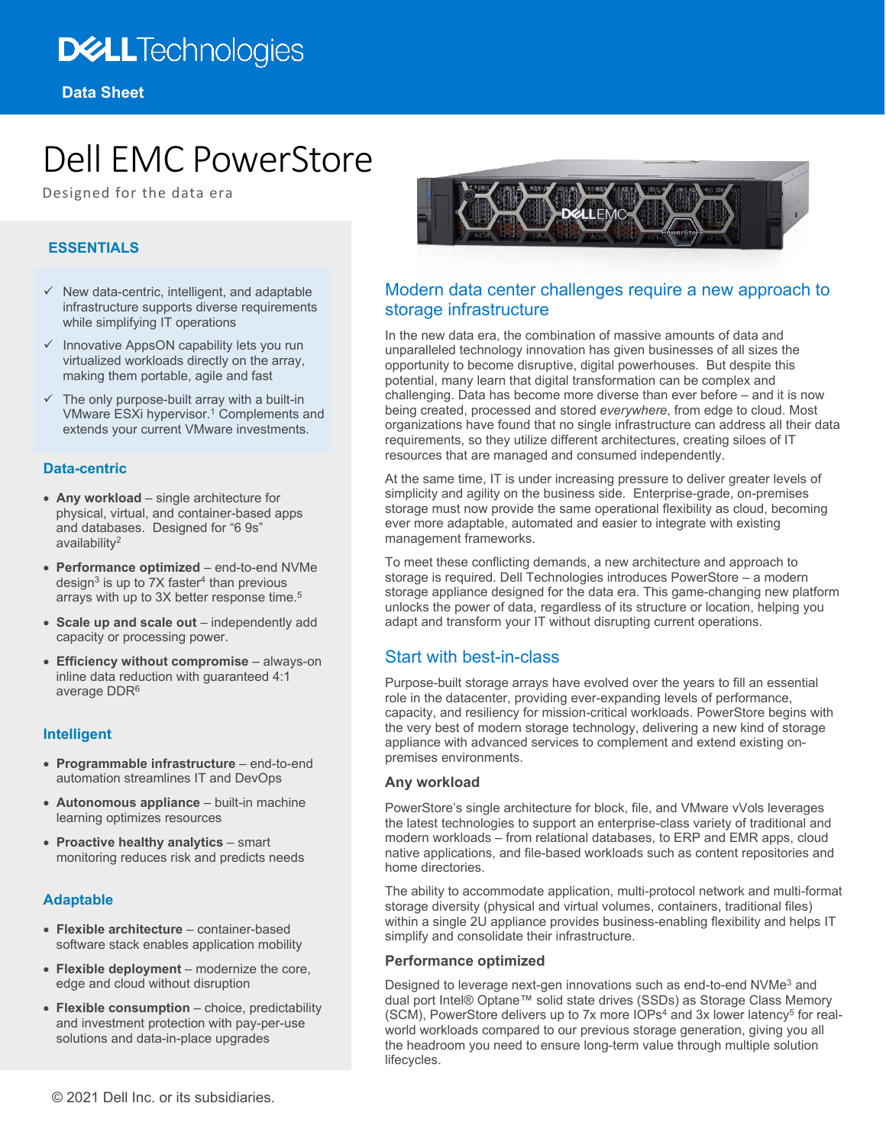## **DELL**Technologies

# Dell EMC PowerStore

Designed for the data era

## **ESSENTIALS**

- $\checkmark$  New data-centric, intelligent, and adaptable infrastructure supports diverse requirements while simplifying IT operations
- $\checkmark$  Innovative AppsON capability lets you run virtualized workloads directly on the array, making them portable, agile and fast
- $\checkmark$  The only purpose-built array with a built-in VMware ESXi hypervisor. <sup>1</sup> Complements and extends your current VMware investments.

## **Data-centric**

- **Any workload** single architecture for physical, virtual, and container-based apps and databases. Designed for "6 9s" availability2
- **Performance optimized** end-to-end NVMe design<sup>3</sup> is up to 7X faster<sup>4</sup> than previous arrays with up to 3X better response time.<sup>5</sup>
- **Scale up and scale out** independently add capacity or processing power.
- **Efficiency without compromise**  always-on inline data reduction with guaranteed 4:1 average DDR<sup>6</sup>

## **Intelligent**

- **Programmable infrastructure** end-to-end automation streamlines IT and DevOps
- **Autonomous appliance**  built-in machine learning optimizes resources
- **Proactive healthy analytics**  smart monitoring reduces risk and predicts needs

## **Adaptable**

- **Flexible architecture** container-based software stack enables application mobility
- **Flexible deployment**  modernize the core, edge and cloud without disruption
- **Flexible consumption**  choice, predictability and investment protection with pay-per-use solutions and data-in-place upgrades



## Modern data center challenges require a new approach to storage infrastructure

In the new data era, the combination of massive amounts of data and unparalleled technology innovation has given businesses of all sizes the opportunity to become disruptive, digital powerhouses. But despite this potential, many learn that digital transformation can be complex and challenging. Data has become more diverse than ever before – and it is now being created, processed and stored *everywhere*, from edge to cloud. Most organizations have found that no single infrastructure can address all their data requirements, so they utilize different architectures, creating siloes of IT resources that are managed and consumed independently.

At the same time, IT is under increasing pressure to deliver greater levels of simplicity and agility on the business side. Enterprise-grade, on-premises storage must now provide the same operational flexibility as cloud, becoming ever more adaptable, automated and easier to integrate with existing management frameworks.

To meet these conflicting demands, a new architecture and approach to storage is required. Dell Technologies introduces PowerStore – a modern storage appliance designed for the data era. This game-changing new platform unlocks the power of data, regardless of its structure or location, helping you adapt and transform your IT without disrupting current operations.

## Start with best-in-class

Purpose-built storage arrays have evolved over the years to fill an essential role in the datacenter, providing ever-expanding levels of performance, capacity, and resiliency for mission-critical workloads. PowerStore begins with the very best of modern storage technology, delivering a new kind of storage appliance with advanced services to complement and extend existing onpremises environments.

## **Any workload**

PowerStore's single architecture for block, file, and VMware vVols leverages the latest technologies to support an enterprise-class variety of traditional and modern workloads – from relational databases, to ERP and EMR apps, cloud native applications, and file-based workloads such as content repositories and home directories.

The ability to accommodate application, multi-protocol network and multi-format storage diversity (physical and virtual volumes, containers, traditional files) within a single 2U appliance provides business-enabling flexibility and helps IT simplify and consolidate their infrastructure.

## **Performance optimized**

Designed to leverage next-gen innovations such as end-to-end NVMe3 and dual port Intel® Optane™ solid state drives (SSDs) as Storage Class Memory (SCM), PowerStore delivers up to 7x more  $10Ps<sup>4</sup>$  and 3x lower latency<sup>5</sup> for realworld workloads compared to our previous storage generation, giving you all the headroom you need to ensure long-term value through multiple solution lifecycles.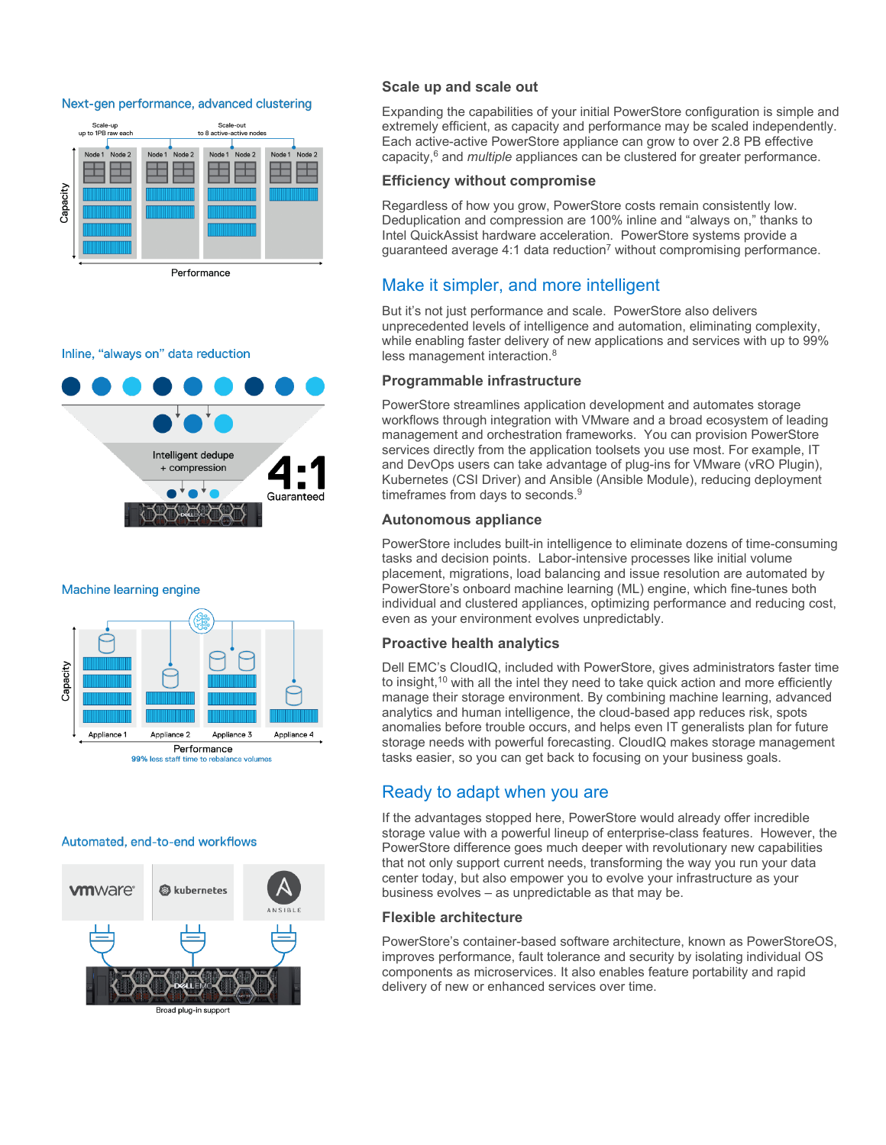#### Next-gen performance, advanced clustering



Inline, "always on" data reduction



#### Machine learning engine



#### Automated, end-to-end workflows



Broad plug-in support

#### **Scale up and scale out**

Expanding the capabilities of your initial PowerStore configuration is simple and extremely efficient, as capacity and performance may be scaled independently. Each active-active PowerStore appliance can grow to over 2.8 PB effective capacity,6 and *multiple* appliances can be clustered for greater performance.

#### **Efficiency without compromise**

Regardless of how you grow, PowerStore costs remain consistently low. Deduplication and compression are 100% inline and "always on," thanks to Intel QuickAssist hardware acceleration. PowerStore systems provide a guaranteed average 4:1 data reduction<sup>7</sup> without compromising performance.

## Make it simpler, and more intelligent

But it's not just performance and scale. PowerStore also delivers unprecedented levels of intelligence and automation, eliminating complexity, while enabling faster delivery of new applications and services with up to 99% less management interaction.<sup>8</sup>

#### **Programmable infrastructure**

PowerStore streamlines application development and automates storage workflows through integration with VMware and a broad ecosystem of leading management and orchestration frameworks. You can provision PowerStore services directly from the application toolsets you use most. For example, IT and DevOps users can take advantage of plug-ins for VMware (vRO Plugin), Kubernetes (CSI Driver) and Ansible (Ansible Module), reducing deployment timeframes from days to seconds.9

#### **Autonomous appliance**

PowerStore includes built-in intelligence to eliminate dozens of time-consuming tasks and decision points. Labor-intensive processes like initial volume placement, migrations, load balancing and issue resolution are automated by PowerStore's onboard machine learning (ML) engine, which fine-tunes both individual and clustered appliances, optimizing performance and reducing cost, even as your environment evolves unpredictably.

### **Proactive health analytics**

Dell EMC's CloudIQ, included with PowerStore, gives administrators faster time to insight,<sup>10</sup> with all the intel they need to take quick action and more efficiently manage their storage environment. By combining machine learning, advanced analytics and human intelligence, the cloud-based app reduces risk, spots anomalies before trouble occurs, and helps even IT generalists plan for future storage needs with powerful forecasting. CloudIQ makes storage management tasks easier, so you can get back to focusing on your business goals.

## Ready to adapt when you are

If the advantages stopped here, PowerStore would already offer incredible storage value with a powerful lineup of enterprise-class features. However, the PowerStore difference goes much deeper with revolutionary new capabilities that not only support current needs, transforming the way you run your data center today, but also empower you to evolve your infrastructure as your business evolves – as unpredictable as that may be.

## **Flexible architecture**

PowerStore's container-based software architecture, known as PowerStoreOS, improves performance, fault tolerance and security by isolating individual OS components as microservices. It also enables feature portability and rapid delivery of new or enhanced services over time.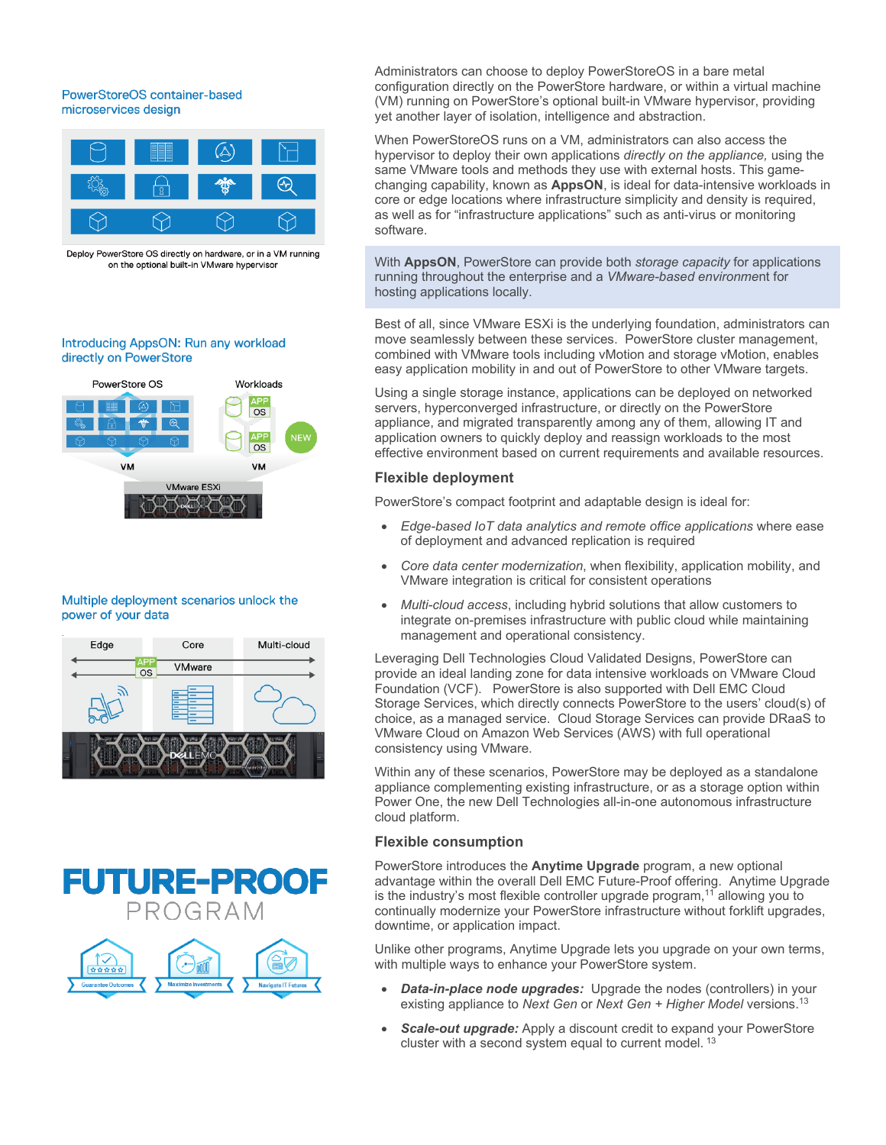## PowerStoreOS container-based microservices design



Deploy PowerStore OS directly on hardware, or in a VM running on the optional built-in VMware hypervisor

## Introducing AppsON: Run any workload directly on PowerStore



#### Multiple deployment scenarios unlock the power of your data







Administrators can choose to deploy PowerStoreOS in a bare metal configuration directly on the PowerStore hardware, or within a virtual machine (VM) running on PowerStore's optional built-in VMware hypervisor, providing yet another layer of isolation, intelligence and abstraction.

When PowerStoreOS runs on a VM, administrators can also access the hypervisor to deploy their own applications *directly on the appliance,* using the same VMware tools and methods they use with external hosts. This gamechanging capability, known as **AppsON**, is ideal for data-intensive workloads in core or edge locations where infrastructure simplicity and density is required, as well as for "infrastructure applications" such as anti-virus or monitoring software.

With **AppsON**, PowerStore can provide both *storage capacity* for applications running throughout the enterprise and a *VMware-based environme*nt for hosting applications locally.

Best of all, since VMware ESXi is the underlying foundation, administrators can move seamlessly between these services. PowerStore cluster management, combined with VMware tools including vMotion and storage vMotion, enables easy application mobility in and out of PowerStore to other VMware targets.

Using a single storage instance, applications can be deployed on networked servers, hyperconverged infrastructure, or directly on the PowerStore appliance, and migrated transparently among any of them, allowing IT and application owners to quickly deploy and reassign workloads to the most effective environment based on current requirements and available resources.

## **Flexible deployment**

PowerStore's compact footprint and adaptable design is ideal for:

- *Edge-based IoT data analytics and remote office applications* where ease of deployment and advanced replication is required
- *Core data center modernization*, when flexibility, application mobility, and VMware integration is critical for consistent operations
- *Multi-cloud access*, including hybrid solutions that allow customers to integrate on-premises infrastructure with public cloud while maintaining management and operational consistency.

Leveraging Dell Technologies Cloud Validated Designs, PowerStore can provide an ideal landing zone for data intensive workloads on VMware Cloud Foundation (VCF). PowerStore is also supported with Dell EMC Cloud Storage Services, which directly connects PowerStore to the users' cloud(s) of choice, as a managed service. Cloud Storage Services can provide DRaaS to VMware Cloud on Amazon Web Services (AWS) with full operational consistency using VMware.

Within any of these scenarios, PowerStore may be deployed as a standalone appliance complementing existing infrastructure, or as a storage option within Power One, the new Dell Technologies all-in-one autonomous infrastructure cloud platform.

## **Flexible consumption**

PowerStore introduces the **Anytime Upgrade** program, a new optional advantage within the overall Dell EMC Future-Proof offering. Anytime Upgrade is the industry's most flexible controller upgrade program,<sup>11</sup> allowing you to continually modernize your PowerStore infrastructure without forklift upgrades, downtime, or application impact.

Unlike other programs, Anytime Upgrade lets you upgrade on your own terms, with multiple ways to enhance your PowerStore system.

- **Data-in-place node upgrades:** Upgrade the nodes (controllers) in your existing appliance to *Next Gen* or *Next Gen + Higher Model* versions. 13
- *Scale-out upgrade:* Apply a discount credit to expand your PowerStore cluster with a second system equal to current model.<sup>13</sup>